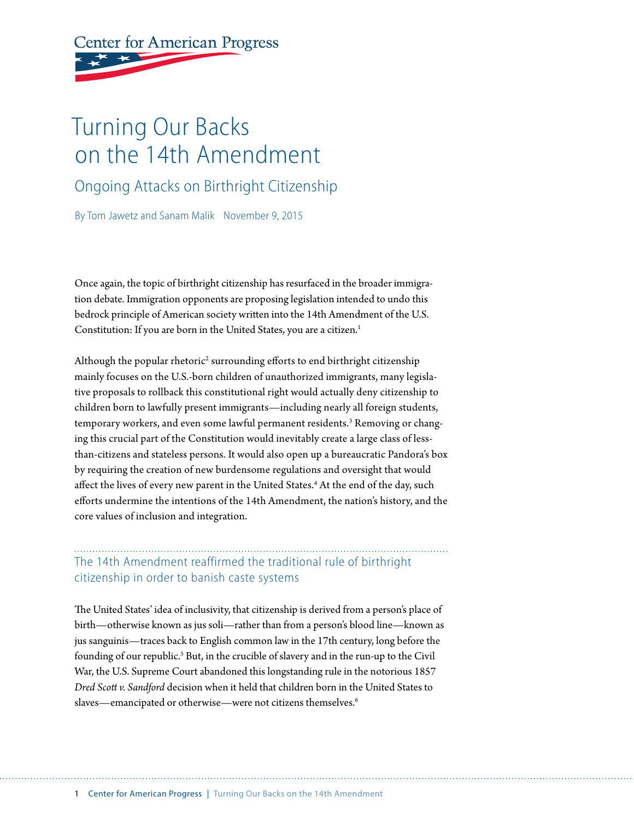# **Center for American Progress**

## Turning Our Backs on the 14th Amendment

Ongoing Attacks on Birthright Citizenship

By Tom Jawetz and Sanam Malik November 9, 2015

Once again, the topic of birthright citizenship has resurfaced in the broader immigration debate. Immigration opponents are proposing legislation intended to undo this bedrock principle of American society written into the 14th Amendment of the U.S. Constitution: If you are born in the United States, you are a citizen.<sup>1</sup>

Although the popular rhetoric<sup>2</sup> surrounding efforts to end birthright citizenship mainly focuses on the U.S.-born children of unauthorized immigrants, many legislative proposals to rollback this constitutional right would actually deny citizenship to children born to lawfully present immigrants—including nearly all foreign students, temporary workers, and even some lawful permanent residents.<sup>3</sup> Removing or changing this crucial part of the Constitution would inevitably create a large class of lessthan-citizens and stateless persons. It would also open up a bureaucratic Pandora's box by requiring the creation of new burdensome regulations and oversight that would affect the lives of every new parent in the United States.<sup>4</sup> At the end of the day, such efforts undermine the intentions of the 14th Amendment, the nation's history, and the core values of inclusion and integration.

#### The 14th Amendment reaffirmed the traditional rule of birthright citizenship in order to banish caste systems

The United States' idea of inclusivity, that citizenship is derived from a person's place of birth—otherwise known as jus soli—rather than from a person's blood line—known as jus sanguinis—traces back to English common law in the 17th century, long before the founding of our republic.<sup>5</sup> But, in the crucible of slavery and in the run-up to the Civil War, the U.S. Supreme Court abandoned this longstanding rule in the notorious 1857 *Dred Scott v. Sandford* decision when it held that children born in the United States to slaves—emancipated or otherwise—were not citizens themselves.<sup>6</sup>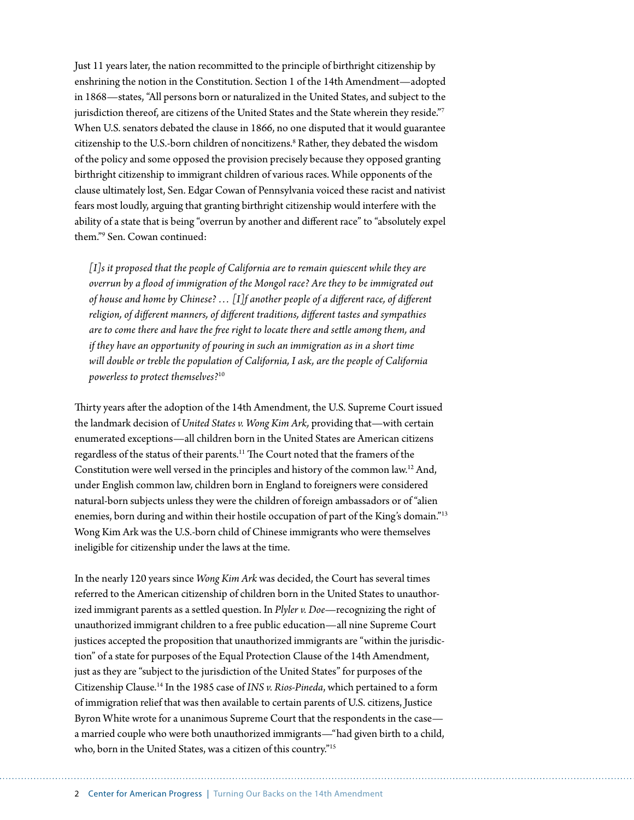Just 11 years later, the nation recommitted to the principle of birthright citizenship by enshrining the notion in the Constitution. Section 1 of the 14th Amendment—adopted in 1868—states, "All persons born or naturalized in the United States, and subject to the jurisdiction thereof, are citizens of the United States and the State wherein they reside."7 When U.S. senators debated the clause in 1866, no one disputed that it would guarantee citizenship to the U.S.-born children of noncitizens.<sup>8</sup> Rather, they debated the wisdom of the policy and some opposed the provision precisely because they opposed granting birthright citizenship to immigrant children of various races. While opponents of the clause ultimately lost, Sen. Edgar Cowan of Pennsylvania voiced these racist and nativist fears most loudly, arguing that granting birthright citizenship would interfere with the ability of a state that is being "overrun by another and different race" to "absolutely expel them."9 Sen. Cowan continued:

*[I]s it proposed that the people of California are to remain quiescent while they are overrun by a flood of immigration of the Mongol race? Are they to be immigrated out of house and home by Chinese? … [I]f another people of a different race, of different religion, of different manners, of different traditions, different tastes and sympathies are to come there and have the free right to locate there and settle among them, and if they have an opportunity of pouring in such an immigration as in a short time will double or treble the population of California, I ask, are the people of California powerless to protect themselves?*<sup>10</sup>

Thirty years after the adoption of the 14th Amendment, the U.S. Supreme Court issued the landmark decision of *United States v. Wong Kim Ark,* providing that—with certain enumerated exceptions—all children born in the United States are American citizens regardless of the status of their parents.11 The Court noted that the framers of the Constitution were well versed in the principles and history of the common law.12 And, under English common law, children born in England to foreigners were considered natural-born subjects unless they were the children of foreign ambassadors or of "alien enemies, born during and within their hostile occupation of part of the King's domain."13 Wong Kim Ark was the U.S.-born child of Chinese immigrants who were themselves ineligible for citizenship under the laws at the time.

In the nearly 120 years since *Wong Kim Ark* was decided, the Court has several times referred to the American citizenship of children born in the United States to unauthorized immigrant parents as a settled question. In *Plyler v. Doe*—recognizing the right of unauthorized immigrant children to a free public education—all nine Supreme Court justices accepted the proposition that unauthorized immigrants are "within the jurisdiction" of a state for purposes of the Equal Protection Clause of the 14th Amendment, just as they are "subject to the jurisdiction of the United States" for purposes of the Citizenship Clause.14 In the 1985 case of *INS v. Rios-Pineda*, which pertained to a form of immigration relief that was then available to certain parents of U.S. citizens, Justice Byron White wrote for a unanimous Supreme Court that the respondents in the case a married couple who were both unauthorized immigrants—"had given birth to a child, who, born in the United States, was a citizen of this country."15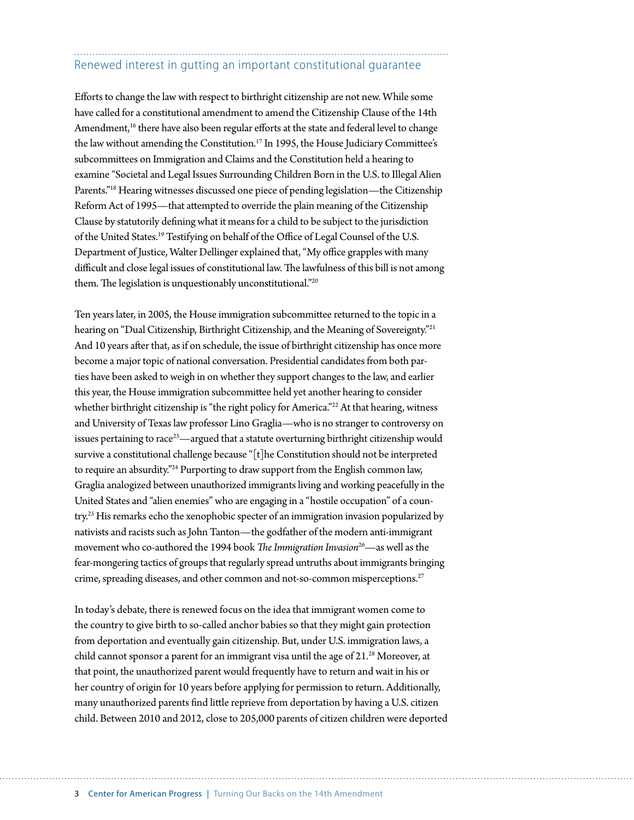## Renewed interest in gutting an important constitutional guarantee

Efforts to change the law with respect to birthright citizenship are not new. While some have called for a constitutional amendment to amend the Citizenship Clause of the 14th Amendment, $16$  there have also been regular efforts at the state and federal level to change the law without amending the Constitution.17 In 1995, the House Judiciary Committee's subcommittees on Immigration and Claims and the Constitution held a hearing to examine "Societal and Legal Issues Surrounding Children Born in the U.S. to Illegal Alien Parents."18 Hearing witnesses discussed one piece of pending legislation—the Citizenship Reform Act of 1995—that attempted to override the plain meaning of the Citizenship Clause by statutorily defining what it means for a child to be subject to the jurisdiction of the United States.19 Testifying on behalf of the Office of Legal Counsel of the U.S. Department of Justice, Walter Dellinger explained that, "My office grapples with many difficult and close legal issues of constitutional law. The lawfulness of this bill is not among them. The legislation is unquestionably unconstitutional."20

Ten years later, in 2005, the House immigration subcommittee returned to the topic in a hearing on "Dual Citizenship, Birthright Citizenship, and the Meaning of Sovereignty."<sup>21</sup> And 10 years after that, as if on schedule, the issue of birthright citizenship has once more become a major topic of national conversation. Presidential candidates from both parties have been asked to weigh in on whether they support changes to the law, and earlier this year, the House immigration subcommittee held yet another hearing to consider whether birthright citizenship is "the right policy for America."<sup>22</sup> At that hearing, witness and University of Texas law professor Lino Graglia—who is no stranger to controversy on issues pertaining to race<sup>23</sup>—argued that a statute overturning birthright citizenship would survive a constitutional challenge because "[t]he Constitution should not be interpreted to require an absurdity."24 Purporting to draw support from the English common law, Graglia analogized between unauthorized immigrants living and working peacefully in the United States and "alien enemies" who are engaging in a "hostile occupation" of a country.<sup>25</sup> His remarks echo the xenophobic specter of an immigration invasion popularized by nativists and racists such as John Tanton—the godfather of the modern anti-immigrant movement who co-authored the 1994 book *The Immigration Invasion*26—as well as the fear-mongering tactics of groups that regularly spread untruths about immigrants bringing crime, spreading diseases, and other common and not-so-common misperceptions.<sup>27</sup>

In today's debate, there is renewed focus on the idea that immigrant women come to the country to give birth to so-called anchor babies so that they might gain protection from deportation and eventually gain citizenship. But, under U.S. immigration laws, a child cannot sponsor a parent for an immigrant visa until the age of  $21.^{28}$  Moreover, at that point, the unauthorized parent would frequently have to return and wait in his or her country of origin for 10 years before applying for permission to return. Additionally, many unauthorized parents find little reprieve from deportation by having a U.S. citizen child. Between 2010 and 2012, close to 205,000 parents of citizen children were deported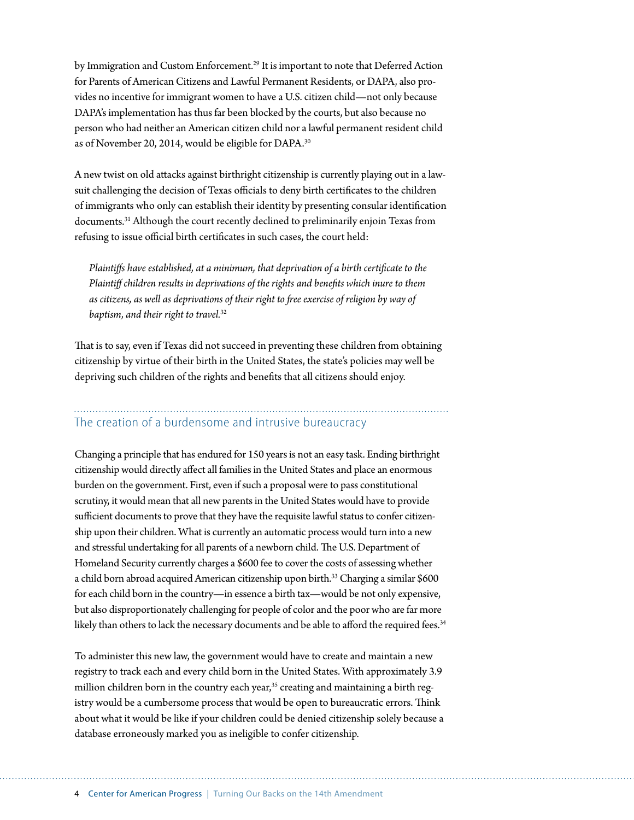by Immigration and Custom Enforcement.<sup>29</sup> It is important to note that Deferred Action for Parents of American Citizens and Lawful Permanent Residents, or DAPA, also provides no incentive for immigrant women to have a U.S. citizen child—not only because DAPA's implementation has thus far been blocked by the courts, but also because no person who had neither an American citizen child nor a lawful permanent resident child as of November 20, 2014, would be eligible for DAPA.<sup>30</sup>

A new twist on old attacks against birthright citizenship is currently playing out in a lawsuit challenging the decision of Texas officials to deny birth certificates to the children of immigrants who only can establish their identity by presenting consular identification documents.31 Although the court recently declined to preliminarily enjoin Texas from refusing to issue official birth certificates in such cases, the court held:

*Plaintiffs have established, at a minimum, that deprivation of a birth certificate to the Plaintiff children results in deprivations of the rights and benefits which inure to them as citizens, as well as deprivations of their right to free exercise of religion by way of baptism, and their right to travel.*<sup>32</sup>

That is to say, even if Texas did not succeed in preventing these children from obtaining citizenship by virtue of their birth in the United States, the state's policies may well be depriving such children of the rights and benefits that all citizens should enjoy.

## The creation of a burdensome and intrusive bureaucracy

Changing a principle that has endured for 150 years is not an easy task. Ending birthright citizenship would directly affect all families in the United States and place an enormous burden on the government. First, even if such a proposal were to pass constitutional scrutiny, it would mean that all new parents in the United States would have to provide sufficient documents to prove that they have the requisite lawful status to confer citizenship upon their children. What is currently an automatic process would turn into a new and stressful undertaking for all parents of a newborn child. The U.S. Department of Homeland Security currently charges a \$600 fee to cover the costs of assessing whether a child born abroad acquired American citizenship upon birth.33 Charging a similar \$600 for each child born in the country—in essence a birth tax—would be not only expensive, but also disproportionately challenging for people of color and the poor who are far more likely than others to lack the necessary documents and be able to afford the required fees.<sup>34</sup>

To administer this new law, the government would have to create and maintain a new registry to track each and every child born in the United States. With approximately 3.9 million children born in the country each year,<sup>35</sup> creating and maintaining a birth registry would be a cumbersome process that would be open to bureaucratic errors. Think about what it would be like if your children could be denied citizenship solely because a database erroneously marked you as ineligible to confer citizenship.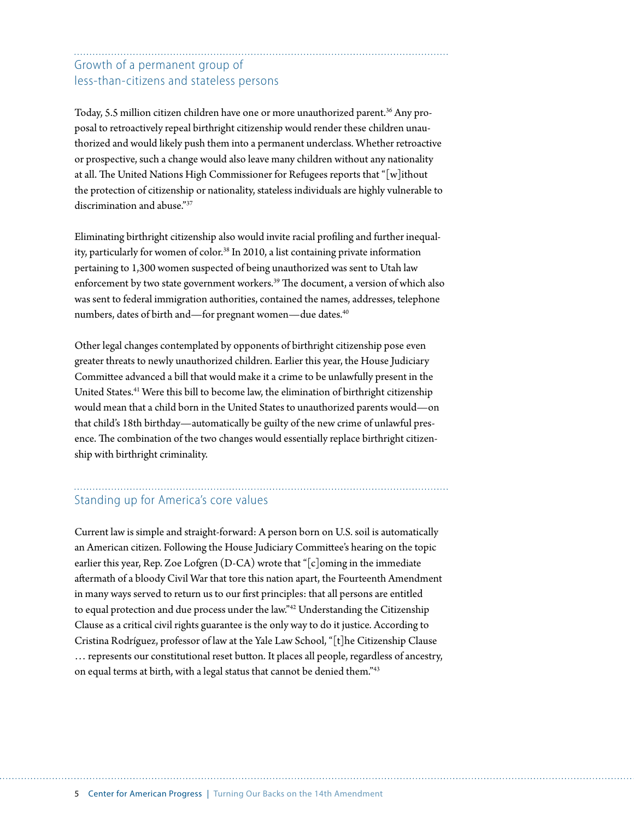#### Growth of a permanent group of less-than-citizens and stateless persons

Today, 5.5 million citizen children have one or more unauthorized parent.<sup>36</sup> Any proposal to retroactively repeal birthright citizenship would render these children unauthorized and would likely push them into a permanent underclass. Whether retroactive or prospective, such a change would also leave many children without any nationality at all. The United Nations High Commissioner for Refugees reports that "[w]ithout the protection of citizenship or nationality, stateless individuals are highly vulnerable to discrimination and abuse."37

Eliminating birthright citizenship also would invite racial profiling and further inequality, particularly for women of color.<sup>38</sup> In 2010, a list containing private information pertaining to 1,300 women suspected of being unauthorized was sent to Utah law enforcement by two state government workers.<sup>39</sup> The document, a version of which also was sent to federal immigration authorities, contained the names, addresses, telephone numbers, dates of birth and—for pregnant women—due dates.<sup>40</sup>

Other legal changes contemplated by opponents of birthright citizenship pose even greater threats to newly unauthorized children. Earlier this year, the House Judiciary Committee advanced a bill that would make it a crime to be unlawfully present in the United States.<sup>41</sup> Were this bill to become law, the elimination of birthright citizenship would mean that a child born in the United States to unauthorized parents would—on that child's 18th birthday—automatically be guilty of the new crime of unlawful presence. The combination of the two changes would essentially replace birthright citizenship with birthright criminality.

### Standing up for America's core values

Current law is simple and straight-forward: A person born on U.S. soil is automatically an American citizen. Following the House Judiciary Committee's hearing on the topic earlier this year, Rep. Zoe Lofgren (D-CA) wrote that "[c]oming in the immediate aftermath of a bloody Civil War that tore this nation apart, the Fourteenth Amendment in many ways served to return us to our first principles: that all persons are entitled to equal protection and due process under the law."42 Understanding the Citizenship Clause as a critical civil rights guarantee is the only way to do it justice. According to Cristina Rodríguez, professor of law at the Yale Law School, "[t]he Citizenship Clause … represents our constitutional reset button. It places all people, regardless of ancestry, on equal terms at birth, with a legal status that cannot be denied them."43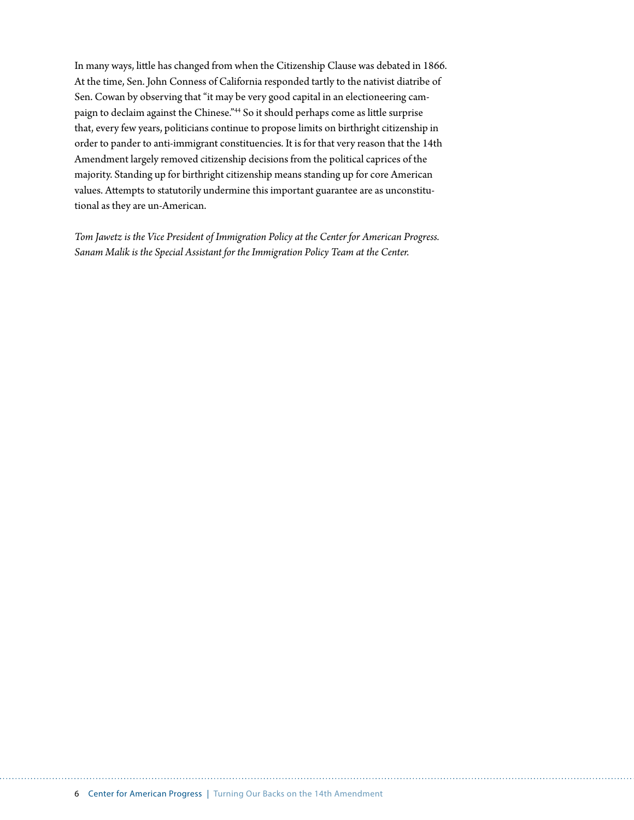In many ways, little has changed from when the Citizenship Clause was debated in 1866. At the time, Sen. John Conness of California responded tartly to the nativist diatribe of Sen. Cowan by observing that "it may be very good capital in an electioneering campaign to declaim against the Chinese."44 So it should perhaps come as little surprise that, every few years, politicians continue to propose limits on birthright citizenship in order to pander to anti-immigrant constituencies. It is for that very reason that the 14th Amendment largely removed citizenship decisions from the political caprices of the majority. Standing up for birthright citizenship means standing up for core American values. Attempts to statutorily undermine this important guarantee are as unconstitutional as they are un-American.

*Tom Jawetz is the Vice President of Immigration Policy at the Center for American Progress. Sanam Malik is the Special Assistant for the Immigration Policy Team at the Center.*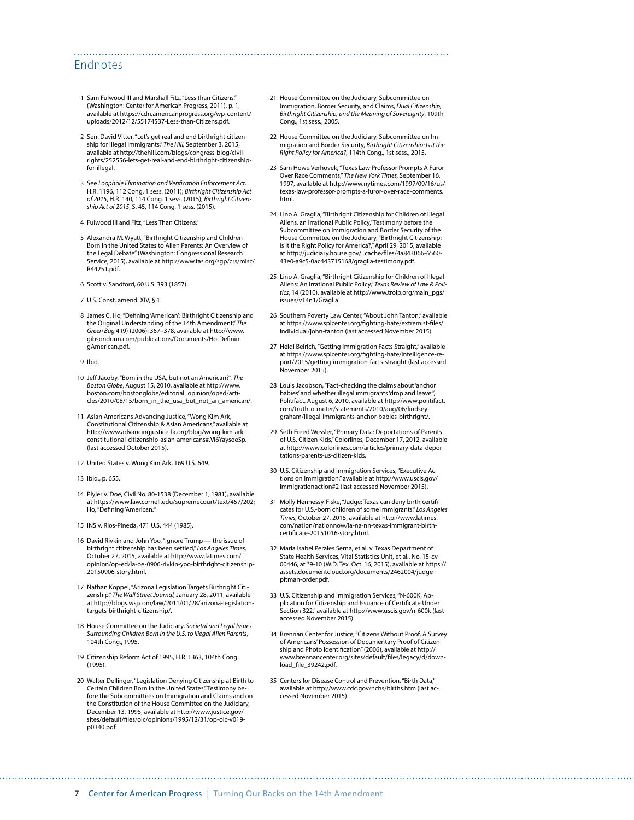#### Endnotes

- 1 Sam Fulwood III and Marshall Fitz, "Less than Citizens," (Washington: Center for American Progress, 2011), p. 1, available at [https://cdn.americanprogress.org/wp-content/](https://cdn.americanprogress.org/wp-content/uploads/2012/12/55174537-Less-than-Citizens.pdf) [uploads/2012/12/55174537-Less-than-Citizens.pdf.](https://cdn.americanprogress.org/wp-content/uploads/2012/12/55174537-Less-than-Citizens.pdf)
- 2 Sen. David Vitter, "Let's get real and end birthright citizenship for illegal immigrants," *The Hill,* September 3, 2015, available at [http://thehill.com/blogs/congress-blog/civil](http://thehill.com/blogs/congress-blog/civil-rights/252556-lets-get-real-and-end-birthright-citizenship-for-illegal)[rights/252556-lets-get-real-and-end-birthright-citizenship](http://thehill.com/blogs/congress-blog/civil-rights/252556-lets-get-real-and-end-birthright-citizenship-for-illegal)[for-illegal.](http://thehill.com/blogs/congress-blog/civil-rights/252556-lets-get-real-and-end-birthright-citizenship-for-illegal)
- 3 See *Loophole Elimination and Verification Enforcement Act,* H.R. 1196, 112 Cong. 1 sess. (2011); *Birthright Citizenship Act of 2015*, H.R. 140, 114 Cong. 1 sess. (2015); *Birthright Citizenship Act of 2015*, S. 45, 114 Cong. 1 sess. (2015).
- 4 Fulwood III and Fitz, "Less Than Citizens."
- 5 Alexandra M. Wyatt, "Birthright Citizenship and Children Born in the United States to Alien Parents: An Overview of the Legal Debate" (Washington: Congressional Research Service, 2015), available at http://www.fas.org/sgp/crs/misc/ R44251.pdf.
- 6 Scott v. Sandford, 60 U.S. 393 (1857).
- 7 U.S. Const. amend. XIV, § 1.
- 8 James C. Ho, "Defining 'American': Birthright Citizenship and the Original Understanding of the 14th Amendment," *The Green Bag* 4 (9) (2006): 367–378, available at [http://www.](http://www.gibsondunn.com/publications/Documents/Ho-DefiningAmerican.pdf) [gibsondunn.com/publications/Documents/Ho-Definin](http://www.gibsondunn.com/publications/Documents/Ho-DefiningAmerican.pdf)[gAmerican.pdf](http://www.gibsondunn.com/publications/Documents/Ho-DefiningAmerican.pdf).
- 9 Ibid.
- 10 Jeff Jacoby, "Born in the USA, but not an American?", *The Boston Globe*, August 15, 2010, available at [http://www.](http://www.boston.com/bostonglobe/editorial_opinion/oped/articles/2010/08/15/born_in_the_usa_but_not_an_american/) [boston.com/bostonglobe/editorial\\_opinion/oped/arti](http://www.boston.com/bostonglobe/editorial_opinion/oped/articles/2010/08/15/born_in_the_usa_but_not_an_american/)[cles/2010/08/15/born\\_in\\_the\\_usa\\_but\\_not\\_an\\_american/](http://www.boston.com/bostonglobe/editorial_opinion/oped/articles/2010/08/15/born_in_the_usa_but_not_an_american/).
- 11 Asian Americans Advancing Justice, "Wong Kim Ark, Constitutional Citizenship & Asian Americans," available at http://www.advancingjustice-la.org/blog/wong-kim-arkconstitutional-citizenship-asian-americans#.Vi6YaysoeSp. (last accessed October 2015).
- 12 United States v. Wong Kim Ark, 169 U.S. 649.
- 13 Ibid., p. 655.
- 14 Plyler v. Doe, Civil No. 80-1538 (December 1, 1981), available at [https://www.law.cornell.edu/supremecourt/text/457/202;](https://www.law.cornell.edu/supremecourt/text/457/202) Ho, "Defining 'American.'"
- 15 INS v. Rios-Pineda, 471 U.S. 444 (1985).
- 16 David Rivkin and John Yoo, "Ignore Trump the issue of birthright citizenship has been settled," *Los Angeles Times,*  October 27, 2015, available at [http://www.latimes.com/](http://www.latimes.com/opinion/op-ed/la-oe-0906-rivkin-yoo-birthright-citizenship-20150906-story.html) [opinion/op-ed/la-oe-0906-rivkin-yoo-birthright-citizenship-](http://www.latimes.com/opinion/op-ed/la-oe-0906-rivkin-yoo-birthright-citizenship-20150906-story.html)[20150906-story.html](http://www.latimes.com/opinion/op-ed/la-oe-0906-rivkin-yoo-birthright-citizenship-20150906-story.html).
- 17 Nathan Koppel, "Arizona Legislation Targets Birthright Citizenship," *The Wall Street Journal,* January 28, 2011, available at [http://blogs.wsj.com/law/2011/01/28/arizona-legislation](http://blogs.wsj.com/law/2011/01/28/arizona-legislation-targets-birthright-citizenship/)[targets-birthright-citizenship/.](http://blogs.wsj.com/law/2011/01/28/arizona-legislation-targets-birthright-citizenship/)
- 18 House Committee on the Judiciary, *Societal and Legal Issues Surrounding Children Born in the U.S. to Illegal Alien Parents*, 104th Cong., 1995.
- 19 Citizenship Reform Act of 1995, H.R. 1363, 104th Cong. (1995).
- 20 Walter Dellinger, "Legislation Denying Citizenship at Birth to Certain Children Born in the United States," Testimony before the Subcommittees on Immigration and Claims and on the Constitution of the House Committee on the Judiciary, December 13, 1995, available at [http://www.justice.gov/](http://www.justice.gov/sites/default/files/olc/opinions/1995/12/31/op-olc-v019-p0340.pdf) [sites/default/files/olc/opinions/1995/12/31/op-olc-v019](http://www.justice.gov/sites/default/files/olc/opinions/1995/12/31/op-olc-v019-p0340.pdf) [p0340.pdf](http://www.justice.gov/sites/default/files/olc/opinions/1995/12/31/op-olc-v019-p0340.pdf).

21 House Committee on the Judiciary, Subcommittee on Immigration, Border Security, and Claims, *Dual Citizenship, Birthright Citizenship, and the Meaning of Sovereignty*, 109th Cong., 1st sess., 2005.

- 22 House Committee on the Judiciary, Subcommittee on Immigration and Border Security, *Birthright Citizenship: Is it the Right Policy for America?*, 114th Cong., 1st sess., 2015.
- 23 Sam Howe Verhovek, "Texas Law Professor Prompts A Furor Over Race Comments," *The New York Times,* September 16, 1997, available at [http://www.nytimes.com/1997/09/16/us/](http://www.nytimes.com/1997/09/16/us/texas-law-professor-prompts-a-furor-over-race-comments.html) [texas-law-professor-prompts-a-furor-over-race-comments.](http://www.nytimes.com/1997/09/16/us/texas-law-professor-prompts-a-furor-over-race-comments.html) [html.](http://www.nytimes.com/1997/09/16/us/texas-law-professor-prompts-a-furor-over-race-comments.html)
- 24 Lino A. Graglia, "Birthright Citizenship for Children of Illegal Aliens, an Irrational Public Policy," Testimony before the Subcommittee on Immigration and Border Security of the House Committee on the Judiciary, "Birthright Citizenship: Is it the Right Policy for America?," April 29, 2015, available at [http://judiciary.house.gov/\\_cache/files/4a843066-6560-](http://judiciary.house.gov/_cache/files/4a843066-6560-43e0-a9c5-0ac443715168/graglia-testimony.pdf) [43e0-a9c5-0ac443715168/graglia-testimony.pdf.](http://judiciary.house.gov/_cache/files/4a843066-6560-43e0-a9c5-0ac443715168/graglia-testimony.pdf)
- 25 Lino A. Graglia, "Birthright Citizenship for Children of Illegal Aliens: An Irrational Public Policy," *Texas Review of Law & Politics*, 14 (2010), available at [http://www.trolp.org/main\\_pgs/](http://www.trolp.org/main_pgs/issues/v14n1/Graglia) [issues/v14n1/Graglia.](http://www.trolp.org/main_pgs/issues/v14n1/Graglia)
- 26 Southern Poverty Law Center, "About John Tanton." available at [https://www.splcenter.org/fighting-hate/extremist-files/](https://www.splcenter.org/fighting-hate/extremist-files/individual/john-tanton) [individual/john-tanton](https://www.splcenter.org/fighting-hate/extremist-files/individual/john-tanton) (last accessed November 2015).
- 27 Heidi Beirich, "Getting Immigration Facts Straight," available at https://www.splcenter.org/fighting-hate/intelligence-report/2015/getting-immigration-facts-straight (last accessed November 2015).
- 28 Louis Jacobson, "Fact-checking the claims about 'anchor babies' and whether illegal immigrants 'drop and leave Politifact*,* August 6, 2010, available at [http://www.politifact.](http://www.politifact.com/truth-o-meter/statements/2010/aug/06/lindsey-graham/illegal-immigrants-anchor-babies-birthright/) [com/truth-o-meter/statements/2010/aug/06/lindsey](http://www.politifact.com/truth-o-meter/statements/2010/aug/06/lindsey-graham/illegal-immigrants-anchor-babies-birthright/)[graham/illegal-immigrants-anchor-babies-birthright/](http://www.politifact.com/truth-o-meter/statements/2010/aug/06/lindsey-graham/illegal-immigrants-anchor-babies-birthright/).
- 29 Seth Freed Wessler, "Primary Data: Deportations of Parents of U.S. Citizen Kids," Colorlines*,* December 17, 2012, available at [http://www.colorlines.com/articles/primary-data-depor](http://www.colorlines.com/articles/primary-data-deportations-parents-us-citizen-kids)[tations-parents-us-citizen-kids](http://www.colorlines.com/articles/primary-data-deportations-parents-us-citizen-kids).
- 30 U.S. Citizenship and Immigration Services, "Executive Actions on Immigration," available at http://www.uscis.gov/ immigrationaction#2 (last accessed November 2015).
- 31 Molly Hennessy-Fiske, "Judge: Texas can deny birth certificates for U.S.-born children of some immigrants," *Los Angeles Times,* October 27, 2015, available at [http://www.latimes.](http://www.latimes.com/nation/nationnow/la-na-nn-texas-immigrant-birth-certificate-20151016-story.html) [com/nation/nationnow/la-na-nn-texas-immigrant-birth](http://www.latimes.com/nation/nationnow/la-na-nn-texas-immigrant-birth-certificate-20151016-story.html)[certificate-20151016-story.html](http://www.latimes.com/nation/nationnow/la-na-nn-texas-immigrant-birth-certificate-20151016-story.html).
- 32 Maria Isabel Perales Serna, et al. v. Texas Department of State Health Services, Vital Statistics Unit, et al., No. 15-cv-00446, at \*9-10 (W.D. Tex. Oct. 16, 2015), available at [https://](https://assets.documentcloud.org/documents/2462004/judge-pitman-order.pdf) [assets.documentcloud.org/documents/2462004/judge](https://assets.documentcloud.org/documents/2462004/judge-pitman-order.pdf)[pitman-order.pdf.](https://assets.documentcloud.org/documents/2462004/judge-pitman-order.pdf)
- 33 U.S. Citizenship and Immigration Services, "N-600K, Application for Citizenship and Issuance of Certificate Under Section 322," available at <http://www.uscis.gov/n-600k> (last accessed November 2015).
- 34 Brennan Center for Justice, "Citizens Without Proof, A Survey of Americans' Possession of Documentary Proof of Citizenship and Photo Identification" (2006), available at [http://](http://www.brennancenter.org/sites/default/files/legacy/d/download_file_39242.pdf) [www.brennancenter.org/sites/default/files/legacy/d/down](http://www.brennancenter.org/sites/default/files/legacy/d/download_file_39242.pdf)[load\\_file\\_39242.pdf](http://www.brennancenter.org/sites/default/files/legacy/d/download_file_39242.pdf).
- 35 Centers for Disease Control and Prevention, "Birth Data," available at<http://www.cdc.gov/nchs/births.htm>(last accessed November 2015).